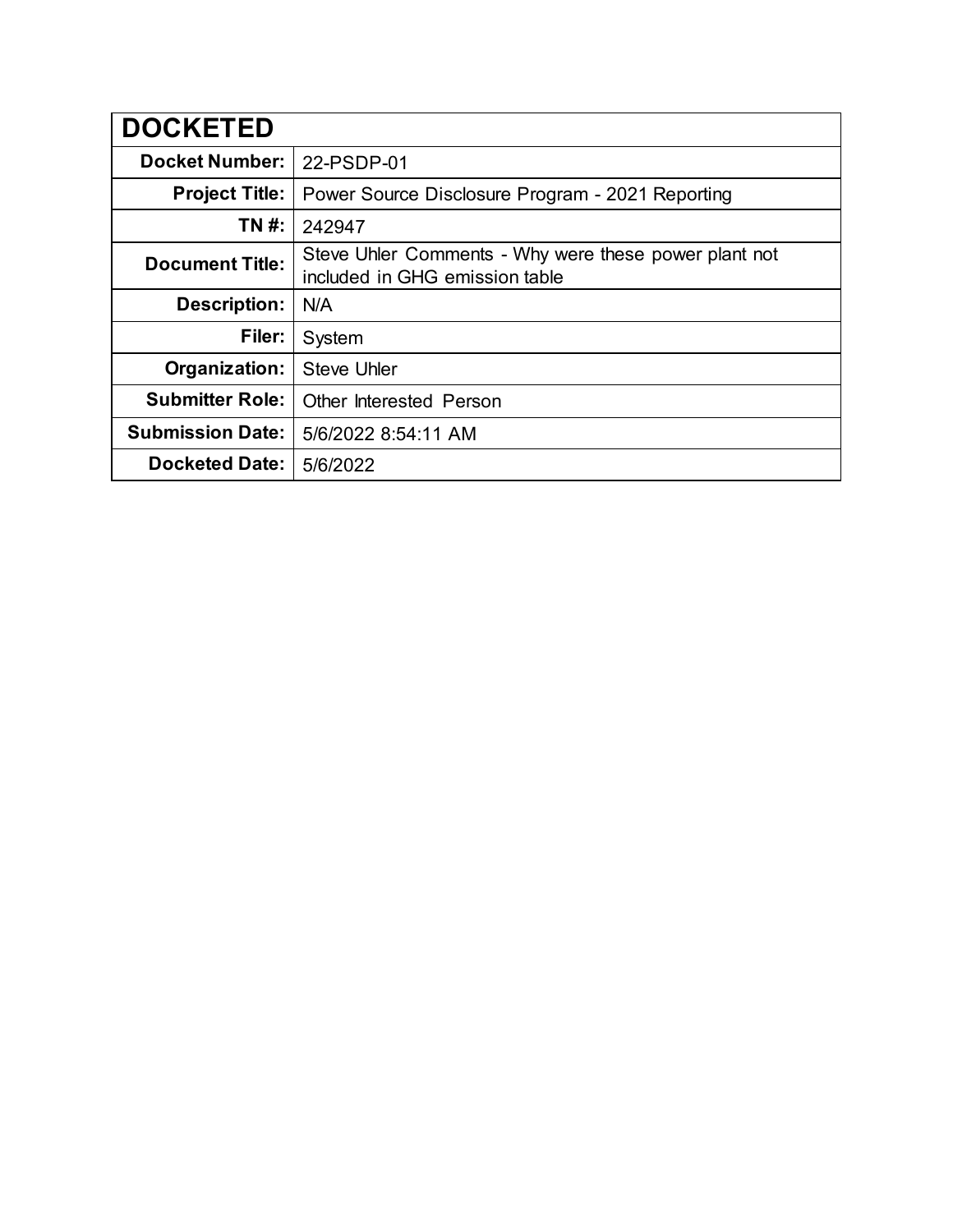| <b>DOCKETED</b>         |                                                                                         |
|-------------------------|-----------------------------------------------------------------------------------------|
| <b>Docket Number:</b>   | 22-PSDP-01                                                                              |
| <b>Project Title:</b>   | Power Source Disclosure Program - 2021 Reporting                                        |
| TN #:                   | 242947                                                                                  |
| <b>Document Title:</b>  | Steve Uhler Comments - Why were these power plant not<br>included in GHG emission table |
| <b>Description:</b>     | N/A                                                                                     |
| Filer:                  | System                                                                                  |
| Organization:           | <b>Steve Uhler</b>                                                                      |
| <b>Submitter Role:</b>  | <b>Other Interested Person</b>                                                          |
| <b>Submission Date:</b> | 5/6/2022 8:54:11 AM                                                                     |
| <b>Docketed Date:</b>   | 5/6/2022                                                                                |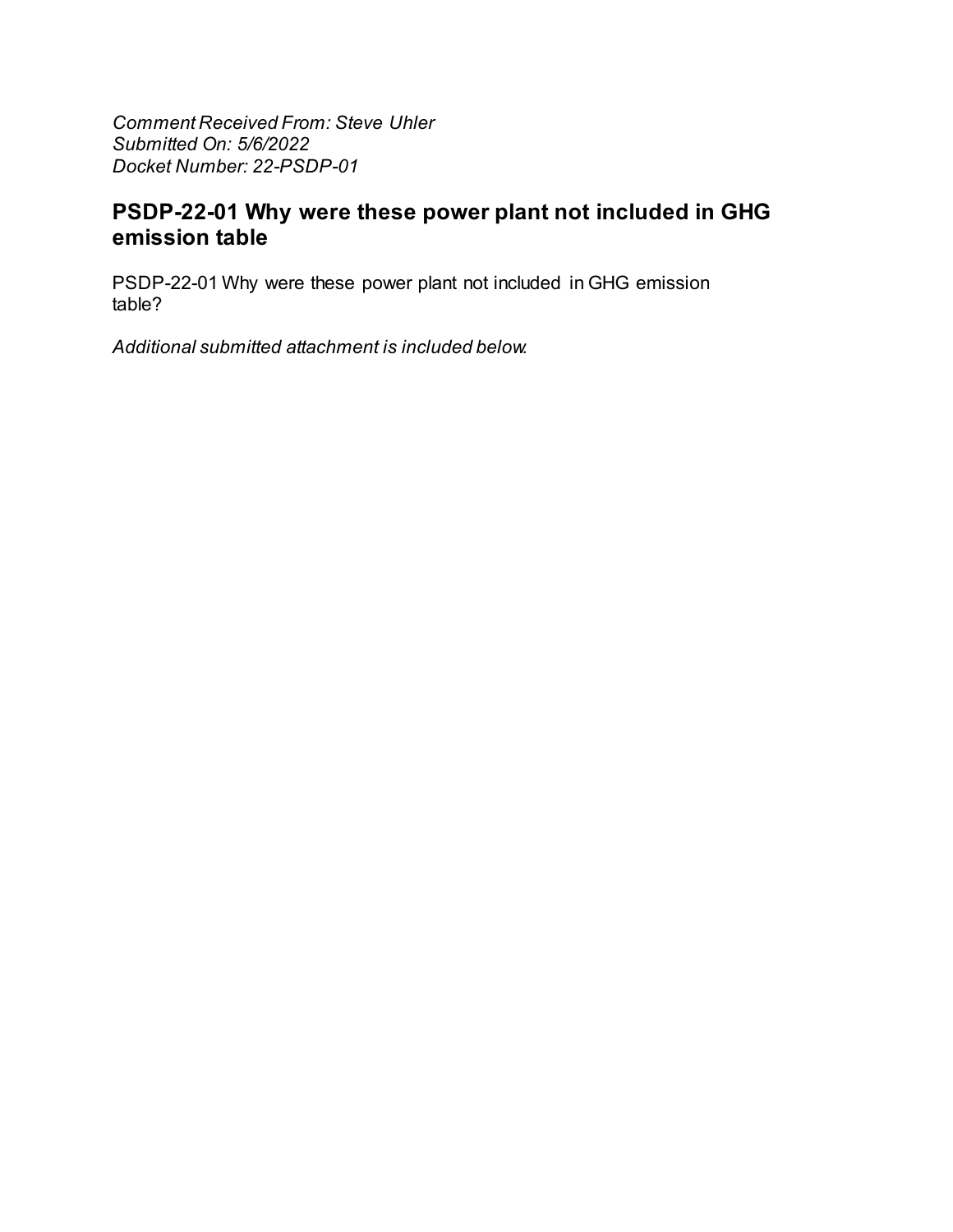**Comment Received From: Steve Uhler** Submitted On: 5/6/2022 Docket Number: 22-PSDP-01

## PSDP-22-01 Why were these power plant not included in GHG emission table

PSDP-22-01 Why were these power plant not included in GHG emission table?

Additional submitted attachment is included below.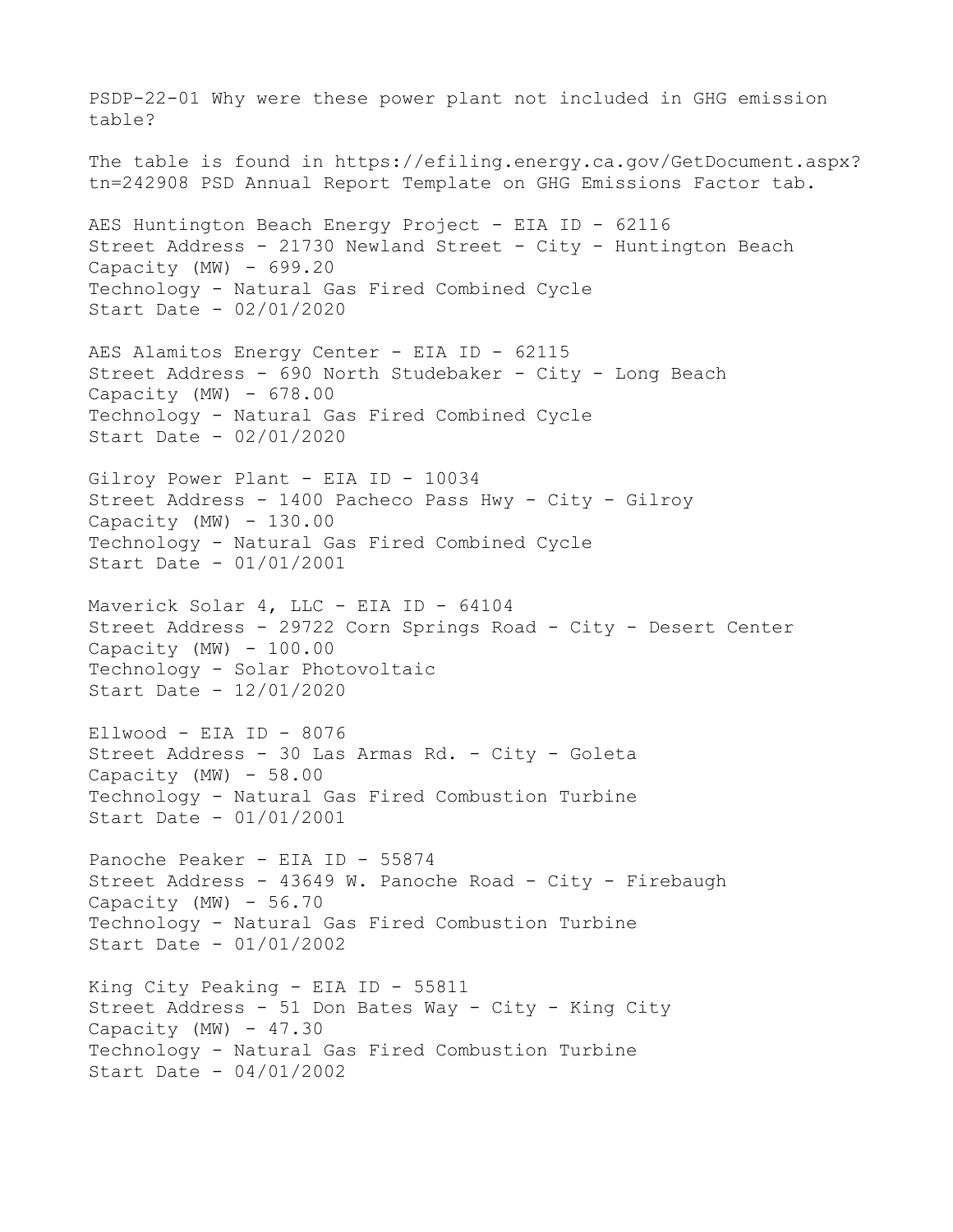PSDP-22-01 Why were these power plant not included in GHG emission table? The table is found in https://efiling.energy.ca.gov/GetDocument.aspx? tn=242908 PSD Annual Report Template on GHG Emissions Factor tab. AES Huntington Beach Energy Project - EIA ID - 62116 Street Address - 21730 Newland Street - City - Huntington Beach Capacity (MW)  $-699.20$ Technology - Natural Gas Fired Combined Cycle Start Date - 02/01/2020 AES Alamitos Energy Center - EIA ID - 62115 Street Address - 690 North Studebaker - City - Long Beach Capacity (MW) - 678.00 Technology - Natural Gas Fired Combined Cycle Start Date - 02/01/2020 Gilroy Power Plant - EIA ID - 10034 Street Address - 1400 Pacheco Pass Hwy - City - Gilroy Capacity  $(MW) - 130.00$ Technology - Natural Gas Fired Combined Cycle Start Date - 01/01/2001 Maverick Solar 4, LLC - EIA ID - 64104 Street Address - 29722 Corn Springs Road - City - Desert Center Capacity (MW) - 100.00 Technology - Solar Photovoltaic Start Date - 12/01/2020  $E11wood - EIA ID - 8076$ Street Address - 30 Las Armas Rd. - City - Goleta Capacity  $(MW) - 58.00$ Technology - Natural Gas Fired Combustion Turbine Start Date - 01/01/2001 Panoche Peaker - EIA ID - 55874 Street Address - 43649 W. Panoche Road - City - Firebaugh Capacity (MW)  $-56.70$ Technology - Natural Gas Fired Combustion Turbine Start Date - 01/01/2002 King City Peaking - EIA ID - 55811 Street Address - 51 Don Bates Way - City - King City Capacity (MW)  $-47.30$ Technology - Natural Gas Fired Combustion Turbine Start Date - 04/01/2002